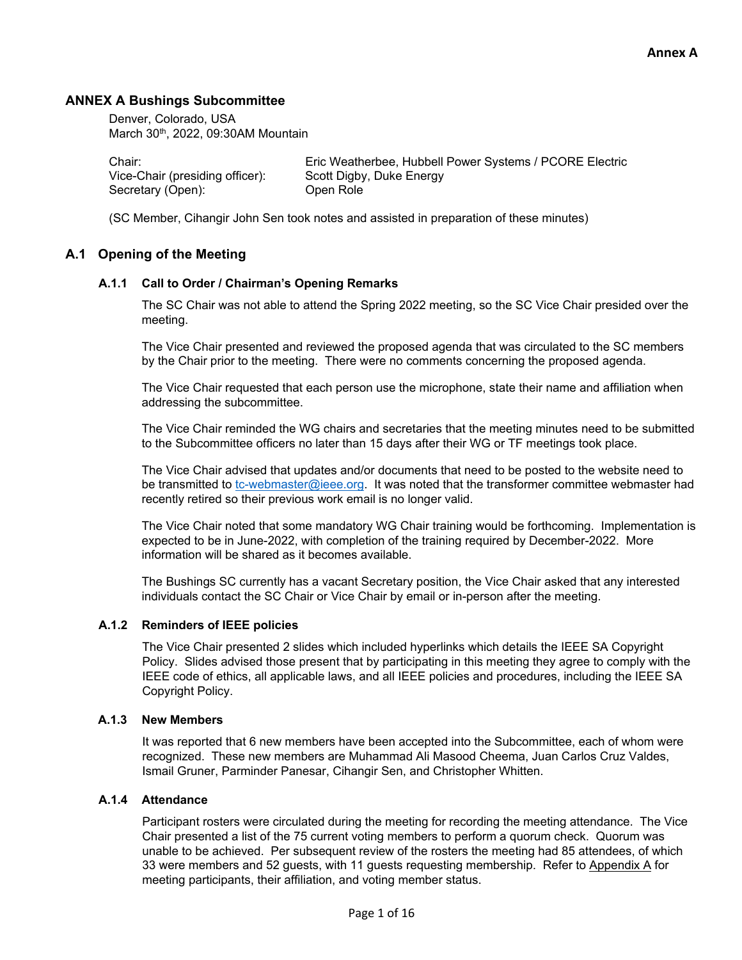#### **ANNEX A Bushings Subcommittee**

 Denver, Colorado, USA March 30<sup>th</sup>, 2022, 09:30AM Mountain

Vice-Chair (presiding officer): Scott Digby, Duke Energy Secretary (Open): Open Role

Chair: Eric Weatherbee, Hubbell Power Systems / PCORE Electric

(SC Member, Cihangir John Sen took notes and assisted in preparation of these minutes)

#### **A.1 Opening of the Meeting**

#### **A.1.1 Call to Order / Chairman's Opening Remarks**

The SC Chair was not able to attend the Spring 2022 meeting, so the SC Vice Chair presided over the meeting.

The Vice Chair presented and reviewed the proposed agenda that was circulated to the SC members by the Chair prior to the meeting. There were no comments concerning the proposed agenda.

The Vice Chair requested that each person use the microphone, state their name and affiliation when addressing the subcommittee.

The Vice Chair reminded the WG chairs and secretaries that the meeting minutes need to be submitted to the Subcommittee officers no later than 15 days after their WG or TF meetings took place.

The Vice Chair advised that updates and/or documents that need to be posted to the website need to be transmitted to tc-webmaster@ieee.org. It was noted that the transformer committee webmaster had recently retired so their previous work email is no longer valid.

The Vice Chair noted that some mandatory WG Chair training would be forthcoming. Implementation is expected to be in June-2022, with completion of the training required by December-2022. More information will be shared as it becomes available.

The Bushings SC currently has a vacant Secretary position, the Vice Chair asked that any interested individuals contact the SC Chair or Vice Chair by email or in-person after the meeting.

#### **A.1.2 Reminders of IEEE policies**

The Vice Chair presented 2 slides which included hyperlinks which details the IEEE SA Copyright Policy. Slides advised those present that by participating in this meeting they agree to comply with the IEEE code of ethics, all applicable laws, and all IEEE policies and procedures, including the IEEE SA Copyright Policy.

#### **A.1.3 New Members**

It was reported that 6 new members have been accepted into the Subcommittee, each of whom were recognized. These new members are Muhammad Ali Masood Cheema, Juan Carlos Cruz Valdes, Ismail Gruner, Parminder Panesar, Cihangir Sen, and Christopher Whitten.

#### **A.1.4 Attendance**

Participant rosters were circulated during the meeting for recording the meeting attendance. The Vice Chair presented a list of the 75 current voting members to perform a quorum check. Quorum was unable to be achieved. Per subsequent review of the rosters the meeting had 85 attendees, of which 33 were members and 52 guests, with 11 guests requesting membership. Refer to Appendix A for meeting participants, their affiliation, and voting member status.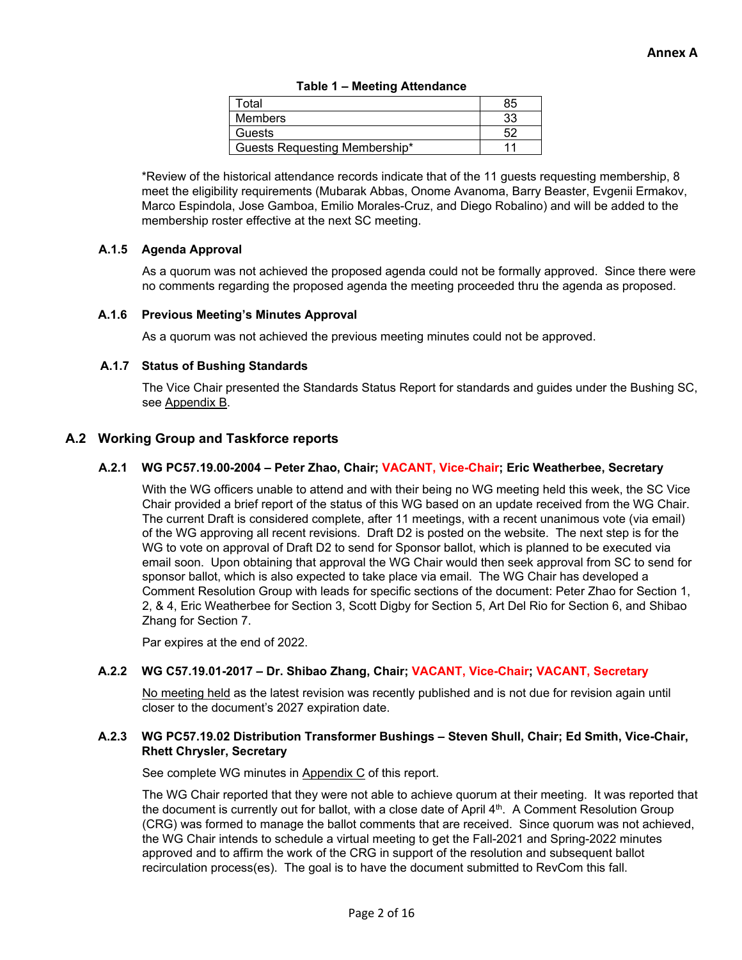| Total                         | 85 |
|-------------------------------|----|
| Members                       | 33 |
| Guests                        |    |
| Guests Requesting Membership* |    |

\*Review of the historical attendance records indicate that of the 11 guests requesting membership, 8 meet the eligibility requirements (Mubarak Abbas, Onome Avanoma, Barry Beaster, Evgenii Ermakov, Marco Espindola, Jose Gamboa, Emilio Morales-Cruz, and Diego Robalino) and will be added to the membership roster effective at the next SC meeting.

#### **A.1.5 Agenda Approval**

As a quorum was not achieved the proposed agenda could not be formally approved. Since there were no comments regarding the proposed agenda the meeting proceeded thru the agenda as proposed.

#### **A.1.6 Previous Meeting's Minutes Approval**

As a quorum was not achieved the previous meeting minutes could not be approved.

#### **A.1.7 Status of Bushing Standards**

The Vice Chair presented the Standards Status Report for standards and guides under the Bushing SC, see Appendix B.

#### **A.2 Working Group and Taskforce reports**

#### **A.2.1 WG PC57.19.00-2004 – Peter Zhao, Chair; VACANT, Vice-Chair; Eric Weatherbee, Secretary**

With the WG officers unable to attend and with their being no WG meeting held this week, the SC Vice Chair provided a brief report of the status of this WG based on an update received from the WG Chair. The current Draft is considered complete, after 11 meetings, with a recent unanimous vote (via email) of the WG approving all recent revisions. Draft D2 is posted on the website. The next step is for the WG to vote on approval of Draft D2 to send for Sponsor ballot, which is planned to be executed via email soon. Upon obtaining that approval the WG Chair would then seek approval from SC to send for sponsor ballot, which is also expected to take place via email. The WG Chair has developed a Comment Resolution Group with leads for specific sections of the document: Peter Zhao for Section 1, 2, & 4, Eric Weatherbee for Section 3, Scott Digby for Section 5, Art Del Rio for Section 6, and Shibao Zhang for Section 7.

Par expires at the end of 2022.

#### **A.2.2 WG C57.19.01-2017 – Dr. Shibao Zhang, Chair; VACANT, Vice-Chair; VACANT, Secretary**

No meeting held as the latest revision was recently published and is not due for revision again until closer to the document's 2027 expiration date.

#### **A.2.3 WG PC57.19.02 Distribution Transformer Bushings – Steven Shull, Chair; Ed Smith, Vice-Chair, Rhett Chrysler, Secretary**

See complete WG minutes in Appendix C of this report.

The WG Chair reported that they were not able to achieve quorum at their meeting. It was reported that the document is currently out for ballot, with a close date of April  $4<sup>th</sup>$ . A Comment Resolution Group (CRG) was formed to manage the ballot comments that are received. Since quorum was not achieved, the WG Chair intends to schedule a virtual meeting to get the Fall-2021 and Spring-2022 minutes approved and to affirm the work of the CRG in support of the resolution and subsequent ballot recirculation process(es). The goal is to have the document submitted to RevCom this fall.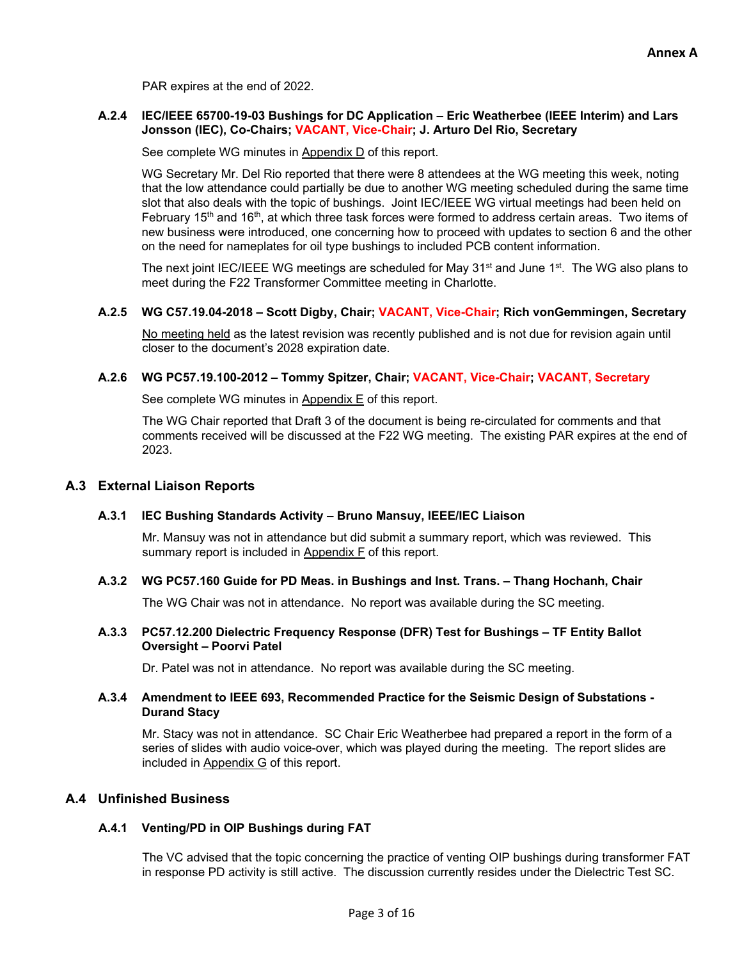PAR expires at the end of 2022.

#### **A.2.4 IEC/IEEE 65700-19-03 Bushings for DC Application – Eric Weatherbee (IEEE Interim) and Lars Jonsson (IEC), Co-Chairs; VACANT, Vice-Chair; J. Arturo Del Rio, Secretary**

See complete WG minutes in Appendix D of this report.

WG Secretary Mr. Del Rio reported that there were 8 attendees at the WG meeting this week, noting that the low attendance could partially be due to another WG meeting scheduled during the same time slot that also deals with the topic of bushings. Joint IEC/IEEE WG virtual meetings had been held on February 15<sup>th</sup> and 16<sup>th</sup>, at which three task forces were formed to address certain areas. Two items of new business were introduced, one concerning how to proceed with updates to section 6 and the other on the need for nameplates for oil type bushings to included PCB content information.

The next joint IEC/IEEE WG meetings are scheduled for May  $31<sup>st</sup>$  and June  $1<sup>st</sup>$ . The WG also plans to meet during the F22 Transformer Committee meeting in Charlotte.

#### **A.2.5 WG C57.19.04-2018 – Scott Digby, Chair; VACANT, Vice-Chair; Rich vonGemmingen, Secretary**

No meeting held as the latest revision was recently published and is not due for revision again until closer to the document's 2028 expiration date.

#### **A.2.6 WG PC57.19.100-2012 – Tommy Spitzer, Chair; VACANT, Vice-Chair; VACANT, Secretary**

See complete WG minutes in Appendix E of this report.

The WG Chair reported that Draft 3 of the document is being re-circulated for comments and that comments received will be discussed at the F22 WG meeting. The existing PAR expires at the end of 2023.

#### **A.3 External Liaison Reports**

#### **A.3.1 IEC Bushing Standards Activity – Bruno Mansuy, IEEE/IEC Liaison**

Mr. Mansuy was not in attendance but did submit a summary report, which was reviewed. This summary report is included in Appendix F of this report.

#### **A.3.2 WG PC57.160 Guide for PD Meas. in Bushings and Inst. Trans. – Thang Hochanh, Chair**

The WG Chair was not in attendance. No report was available during the SC meeting.

#### **A.3.3 PC57.12.200 Dielectric Frequency Response (DFR) Test for Bushings – TF Entity Ballot Oversight – Poorvi Patel**

Dr. Patel was not in attendance. No report was available during the SC meeting.

#### **A.3.4 Amendment to IEEE 693, Recommended Practice for the Seismic Design of Substations - Durand Stacy**

Mr. Stacy was not in attendance. SC Chair Eric Weatherbee had prepared a report in the form of a series of slides with audio voice-over, which was played during the meeting. The report slides are included in Appendix G of this report.

#### **A.4 Unfinished Business**

#### **A.4.1 Venting/PD in OIP Bushings during FAT**

The VC advised that the topic concerning the practice of venting OIP bushings during transformer FAT in response PD activity is still active. The discussion currently resides under the Dielectric Test SC.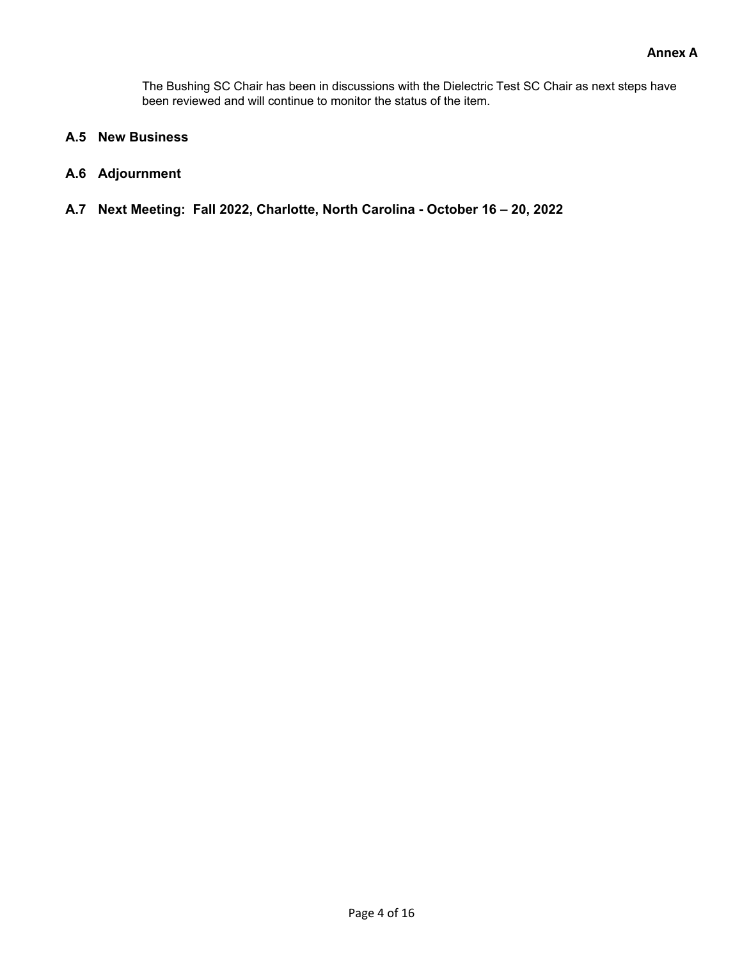The Bushing SC Chair has been in discussions with the Dielectric Test SC Chair as next steps have been reviewed and will continue to monitor the status of the item.

- **A.5 New Business**
- **A.6 Adjournment**
- **A.7 Next Meeting: Fall 2022, Charlotte, North Carolina October 16 20, 2022**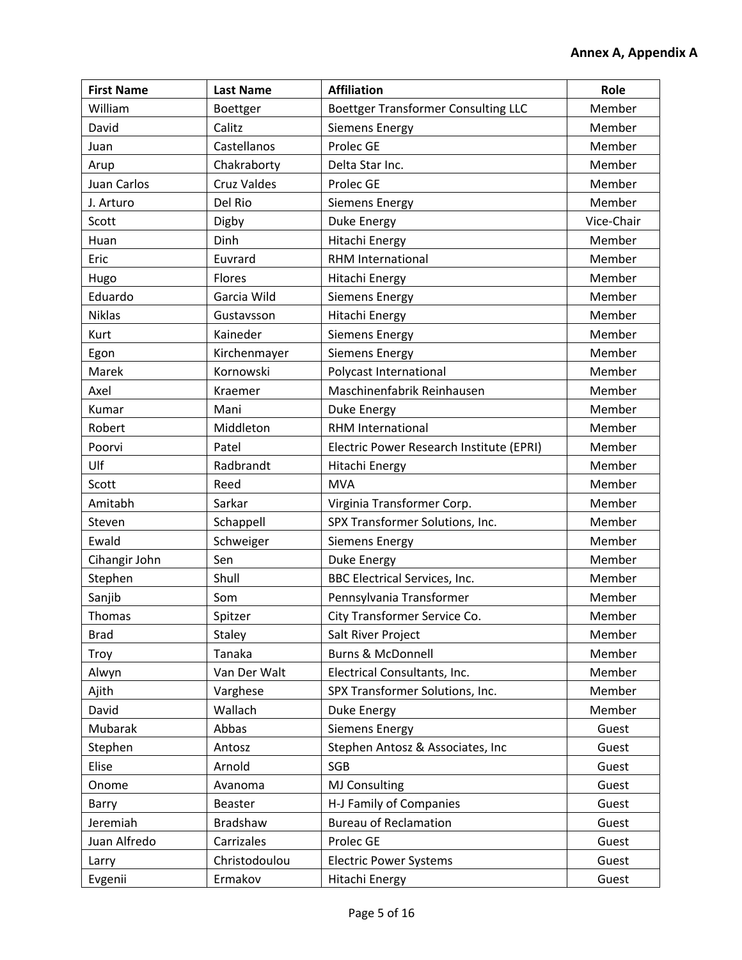| <b>First Name</b> | <b>Last Name</b>   | <b>Affiliation</b>                         | Role       |
|-------------------|--------------------|--------------------------------------------|------------|
| William           | Boettger           | <b>Boettger Transformer Consulting LLC</b> | Member     |
| David             | Calitz             | <b>Siemens Energy</b>                      | Member     |
| Juan              | Castellanos        | Prolec GE                                  | Member     |
| Arup              | Chakraborty        | Delta Star Inc.                            | Member     |
| Juan Carlos       | <b>Cruz Valdes</b> | Prolec GE                                  | Member     |
| J. Arturo         | Del Rio            | Siemens Energy                             | Member     |
| Scott             | Digby              | Duke Energy                                | Vice-Chair |
| Huan              | Dinh               | <b>Hitachi Energy</b>                      | Member     |
| Eric              | Euvrard            | <b>RHM International</b>                   | Member     |
| Hugo              | Flores             | Hitachi Energy                             | Member     |
| Eduardo           | Garcia Wild        | <b>Siemens Energy</b>                      | Member     |
| <b>Niklas</b>     | Gustavsson         | Hitachi Energy                             | Member     |
| Kurt              | Kaineder           | <b>Siemens Energy</b>                      | Member     |
| Egon              | Kirchenmayer       | <b>Siemens Energy</b>                      | Member     |
| Marek             | Kornowski          | Polycast International                     | Member     |
| Axel              | Kraemer            | Maschinenfabrik Reinhausen                 | Member     |
| Kumar             | Mani               | <b>Duke Energy</b>                         | Member     |
| Robert            | Middleton          | <b>RHM International</b>                   | Member     |
| Poorvi            | Patel              | Electric Power Research Institute (EPRI)   | Member     |
| Ulf               | Radbrandt          | Hitachi Energy                             | Member     |
| Scott             | Reed               | <b>MVA</b>                                 | Member     |
| Amitabh           | Sarkar             | Virginia Transformer Corp.                 | Member     |
| Steven            | Schappell          | SPX Transformer Solutions, Inc.            | Member     |
| Ewald             | Schweiger          | Siemens Energy                             | Member     |
| Cihangir John     | Sen                | Duke Energy                                | Member     |
| Stephen           | Shull              | <b>BBC Electrical Services, Inc.</b>       | Member     |
| Sanjib            | Som                | Pennsylvania Transformer                   | Member     |
| Thomas            | Spitzer            | City Transformer Service Co.               | Member     |
| <b>Brad</b>       | Staley             | Salt River Project                         | Member     |
| Troy              | Tanaka             | <b>Burns &amp; McDonnell</b>               | Member     |
| Alwyn             | Van Der Walt       | Electrical Consultants, Inc.               | Member     |
| Ajith             | Varghese           | SPX Transformer Solutions, Inc.            | Member     |
| David             | Wallach            | Duke Energy                                | Member     |
| Mubarak           | Abbas              | <b>Siemens Energy</b>                      | Guest      |
| Stephen           | Antosz             | Stephen Antosz & Associates, Inc           | Guest      |
| Elise             | Arnold             | SGB                                        | Guest      |
| Onome             | Avanoma            | <b>MJ Consulting</b>                       | Guest      |
| Barry             | Beaster            | H-J Family of Companies<br>Guest           |            |
| Jeremiah          | <b>Bradshaw</b>    | <b>Bureau of Reclamation</b>               | Guest      |
| Juan Alfredo      | Carrizales         | Prolec GE                                  | Guest      |
| Larry             | Christodoulou      | <b>Electric Power Systems</b>              | Guest      |
| Evgenii           | Ermakov            | Hitachi Energy                             | Guest      |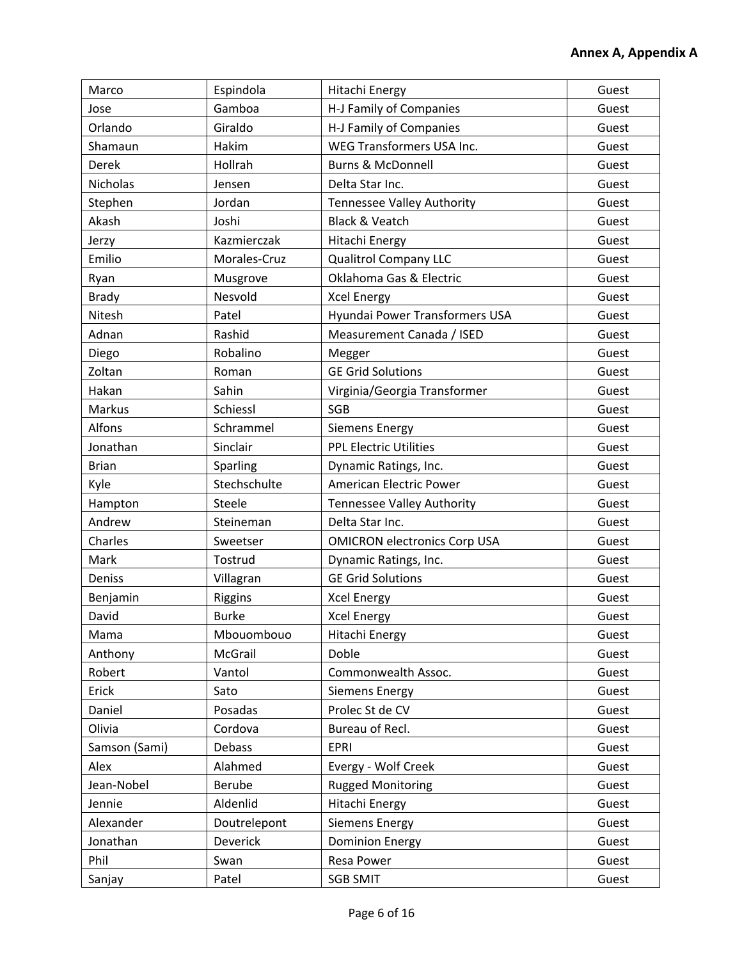| Marco           | Espindola      | Hitachi Energy                      | Guest |
|-----------------|----------------|-------------------------------------|-------|
| Jose            | Gamboa         | H-J Family of Companies             | Guest |
| Orlando         | Giraldo        | H-J Family of Companies             | Guest |
| Shamaun         | Hakim          | WEG Transformers USA Inc.           | Guest |
| Derek           | Hollrah        | <b>Burns &amp; McDonnell</b>        | Guest |
| <b>Nicholas</b> | Jensen         | Delta Star Inc.                     | Guest |
| Stephen         | Jordan         | <b>Tennessee Valley Authority</b>   | Guest |
| Akash           | Joshi          | <b>Black &amp; Veatch</b>           | Guest |
| Jerzy           | Kazmierczak    | <b>Hitachi Energy</b>               | Guest |
| Emilio          | Morales-Cruz   | <b>Qualitrol Company LLC</b>        | Guest |
| Ryan            | Musgrove       | Oklahoma Gas & Electric             | Guest |
| <b>Brady</b>    | Nesvold        | <b>Xcel Energy</b>                  | Guest |
| Nitesh          | Patel          | Hyundai Power Transformers USA      | Guest |
| Adnan           | Rashid         | Measurement Canada / ISED           | Guest |
| Diego           | Robalino       | Megger                              | Guest |
| Zoltan          | Roman          | <b>GE Grid Solutions</b>            | Guest |
| Hakan           | Sahin          | Virginia/Georgia Transformer        | Guest |
| Markus          | Schiessl       | SGB                                 | Guest |
| Alfons          | Schrammel      | <b>Siemens Energy</b>               | Guest |
| Jonathan        | Sinclair       | <b>PPL Electric Utilities</b>       | Guest |
| <b>Brian</b>    | Sparling       | Dynamic Ratings, Inc.               | Guest |
| Kyle            | Stechschulte   | American Electric Power             | Guest |
| Hampton         | Steele         | Tennessee Valley Authority          | Guest |
| Andrew          | Steineman      | Delta Star Inc.                     | Guest |
| Charles         | Sweetser       | <b>OMICRON electronics Corp USA</b> | Guest |
| Mark            | Tostrud        | Dynamic Ratings, Inc.               | Guest |
| Deniss          | Villagran      | <b>GE Grid Solutions</b>            | Guest |
| Benjamin        | <b>Riggins</b> | <b>Xcel Energy</b>                  | Guest |
| David           | <b>Burke</b>   | <b>Xcel Energy</b>                  | Guest |
| Mama            | Mbouombouo     | Hitachi Energy                      | Guest |
| Anthony         | McGrail        | Doble                               | Guest |
| Robert          | Vantol         | Commonwealth Assoc.                 | Guest |
| Erick           | Sato           | <b>Siemens Energy</b>               | Guest |
| Daniel          | Posadas        | Prolec St de CV                     | Guest |
| Olivia          | Cordova        | Bureau of Recl.<br>Guest            |       |
| Samson (Sami)   | Debass         | <b>EPRI</b>                         | Guest |
| Alex            | Alahmed        | Evergy - Wolf Creek                 | Guest |
| Jean-Nobel      | Berube         | <b>Rugged Monitoring</b>            | Guest |
| Jennie          | Aldenlid       | Hitachi Energy<br>Guest             |       |
| Alexander       | Doutrelepont   | <b>Siemens Energy</b>               | Guest |
| Jonathan        | Deverick       | <b>Dominion Energy</b><br>Guest     |       |
| Phil            | Swan           | Resa Power                          | Guest |
| Sanjay          | Patel          | <b>SGB SMIT</b>                     | Guest |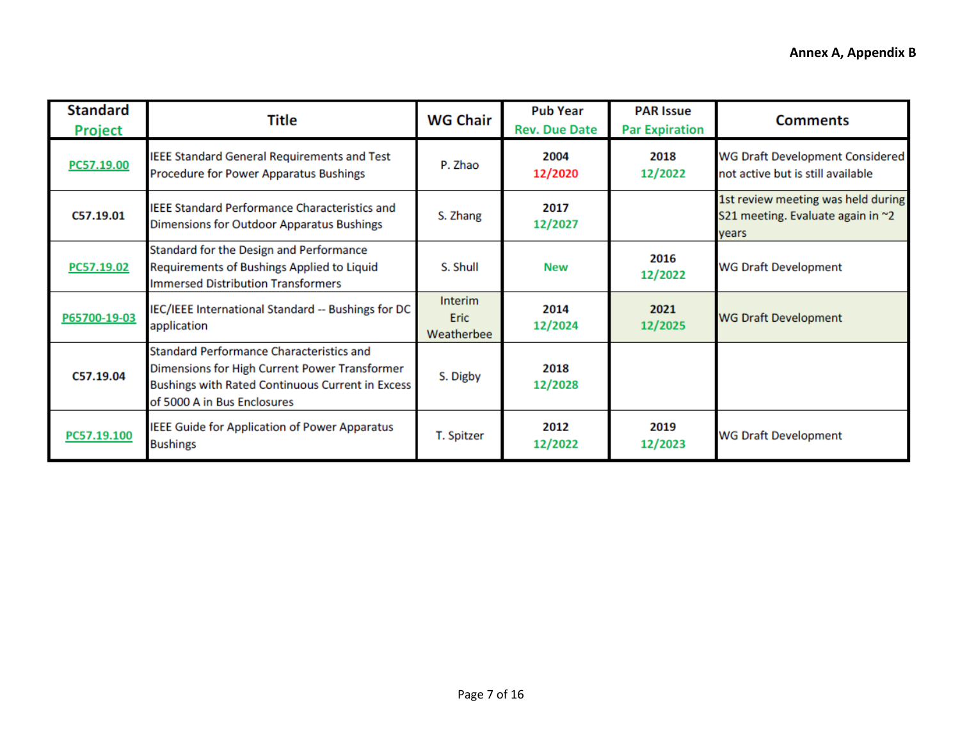| <b>Standard</b><br><b>Project</b> | Title                                                                                                                                                                                      | <b>WG Chair</b>                | <b>Pub Year</b><br><b>Rev. Due Date</b> | <b>PAR Issue</b><br><b>Par Expiration</b> | <b>Comments</b>                                                                  |
|-----------------------------------|--------------------------------------------------------------------------------------------------------------------------------------------------------------------------------------------|--------------------------------|-----------------------------------------|-------------------------------------------|----------------------------------------------------------------------------------|
| PC57.19.00                        | <b>IEEE Standard General Requirements and Test</b><br>Procedure for Power Apparatus Bushings                                                                                               | P. Zhao                        | 2004<br>12/2020                         | 2018<br>12/2022                           | <b>WG Draft Development Considered</b><br>not active but is still available      |
| C57.19.01                         | <b>IEEE Standard Performance Characteristics and</b><br>Dimensions for Outdoor Apparatus Bushings                                                                                          | S. Zhang                       | 2017<br>12/2027                         |                                           | 1st review meeting was held during<br>S21 meeting. Evaluate again in ~2<br>vears |
| PC57.19.02                        | Standard for the Design and Performance<br>Requirements of Bushings Applied to Liquid<br><b>Immersed Distribution Transformers</b>                                                         | S. Shull                       | <b>New</b>                              | 2016<br>12/2022                           | <b>WG Draft Development</b>                                                      |
| P65700-19-03                      | IEC/IEEE International Standard -- Bushings for DC<br>application                                                                                                                          | Interim<br>Eric.<br>Weatherbee | 2014<br>12/2024                         | 2021<br>12/2025                           | <b>WG Draft Development</b>                                                      |
| C57.19.04                         | <b>Standard Performance Characteristics and</b><br>Dimensions for High Current Power Transformer<br><b>Bushings with Rated Continuous Current in Excess</b><br>of 5000 A in Bus Enclosures | S. Digby                       | 2018<br>12/2028                         |                                           |                                                                                  |
| PC57.19.100                       | <b>IEEE Guide for Application of Power Apparatus</b><br><b>Bushings</b>                                                                                                                    | T. Spitzer                     | 2012<br>12/2022                         | 2019<br>12/2023                           | <b>WG Draft Development</b>                                                      |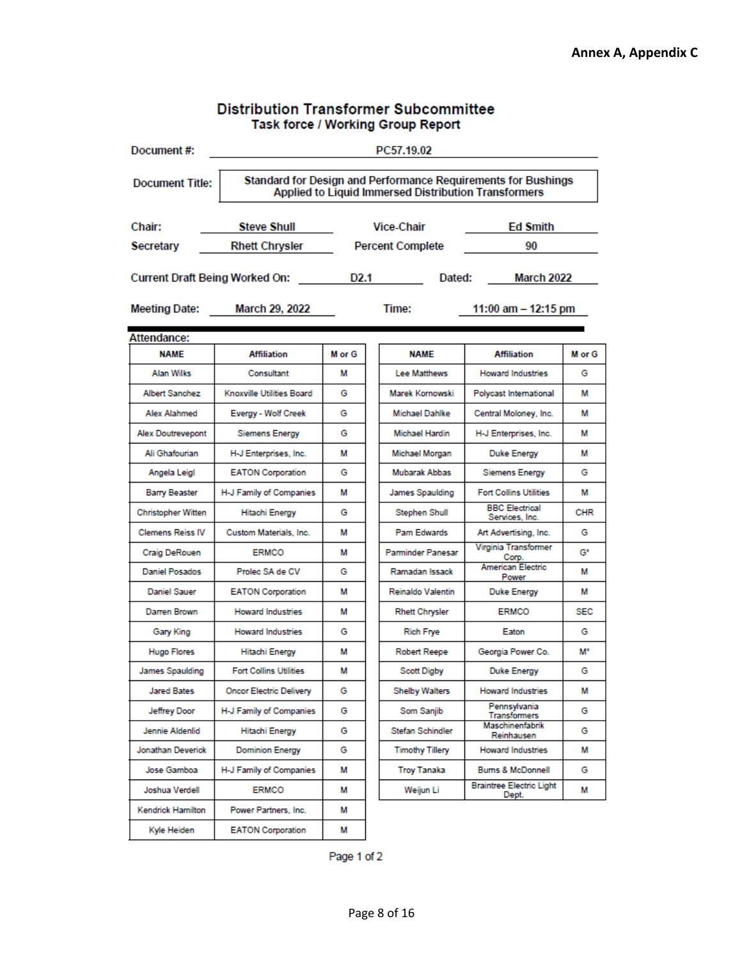|                                                                       |                                                                                                                       |        | Task force / Working Group Report |                                          |            |
|-----------------------------------------------------------------------|-----------------------------------------------------------------------------------------------------------------------|--------|-----------------------------------|------------------------------------------|------------|
| Document#:                                                            | PC57.19.02                                                                                                            |        |                                   |                                          |            |
| <b>Document Title:</b>                                                | Standard for Design and Performance Requirements for Bushings<br>Applied to Liquid Immersed Distribution Transformers |        |                                   |                                          |            |
| Chair:                                                                | <b>Vice-Chair</b><br><b>Ed Smith</b><br><b>Steve Shull</b>                                                            |        |                                   |                                          |            |
| Secretary                                                             | <b>Rhett Chrysler</b>                                                                                                 |        | <b>Percent Complete</b>           | 90                                       |            |
| <b>Current Draft Being Worked On:</b><br>D2.1<br>Dated:<br>March 2022 |                                                                                                                       |        |                                   |                                          |            |
| <b>Meeting Date:</b>                                                  | <b>March 29, 2022</b>                                                                                                 |        | Time:                             | 11:00 am - 12:15 pm                      |            |
| Attendance:                                                           |                                                                                                                       |        |                                   |                                          |            |
| <b>NAME</b>                                                           | <b>Affiliation</b>                                                                                                    | M or G | <b>NAME</b>                       | <b>Affiliation</b>                       | M or G     |
| <b>Alan Wilks</b>                                                     | Consultant                                                                                                            | м      | Lee Matthews                      | <b>Howard Industries</b>                 | G          |
| Albert Sanchez                                                        | <b>Knoxville Utilities Board</b>                                                                                      | G      | Marek Kornowski                   | Polycast International                   | м          |
| <b>Alex Alahmed</b>                                                   | Evergy - Wolf Creek                                                                                                   | G      | <b>Michael Dahlke</b>             | Central Moloney, Inc.                    | м          |
| <b>Alex Doutrevepont</b>                                              | <b>Siemens Energy</b>                                                                                                 | G      | Michael Hardin                    | H-J Enterprises, Inc.                    | м          |
| Ali Ghafourian                                                        | H-J Enterprises, Inc.                                                                                                 | м      | Michael Morgan                    | Duke Energy                              | м          |
| Angela Leigl                                                          | <b>EATON Corporation</b>                                                                                              | G      | <b>Mubarak Abbas</b>              | <b>Siemens Energy</b>                    | G          |
| <b>Barry Beaster</b>                                                  | H-J Family of Companies                                                                                               | м      | James Spaulding                   | <b>Fort Collins Utilities</b>            | м          |
| <b>Christopher Witten</b>                                             | Hitachi Energy                                                                                                        | G      | Stephen Shull                     | <b>BBC Electrical</b><br>Services, Inc.  | <b>CHR</b> |
| <b>Clemens Reiss IV</b>                                               | Custom Materials, Inc.                                                                                                | м      | Pam Edwards                       | Art Advertising, Inc.                    | G          |
| <b>Craig DeRouen</b>                                                  | <b>ERMCO</b>                                                                                                          | м      | <b>Parminder Panesar</b>          | Virginia Transformer<br>Corp.            | G*         |
| <b>Daniel Posados</b>                                                 | Prolec SA de CV                                                                                                       | G      | Ramadan Issack                    | <b>American Electric</b><br>Power        | м          |
| <b>Daniel Sauer</b>                                                   | <b>EATON Corporation</b>                                                                                              | м      | Reinaldo Valentin                 | <b>Duke Energy</b>                       | м          |
| Darren Brown                                                          | <b>Howard Industries</b>                                                                                              | м      | <b>Rhett Chrysler</b>             | <b>ERMCO</b>                             | SEC        |
| Gary King                                                             | <b>Howard Industries</b>                                                                                              | G      | <b>Rich Frye</b>                  | Eaton                                    | G          |
| <b>Hugo Flores</b>                                                    | Hitachi Energy                                                                                                        | м      | Robert Reepe                      | Georgia Power Co.                        | M"         |
| James Spaulding                                                       | <b>Fort Collins Utilities</b>                                                                                         | М      | <b>Scott Digby</b>                | <b>Duke Energy</b>                       | G          |
| <b>Jared Bates</b>                                                    | <b>Oncor Electric Delivery</b>                                                                                        | G      | <b>Shelby Walters</b>             | <b>Howard Industries</b>                 | М          |
| Jeffrey Door                                                          | H-J Family of Companies                                                                                               | G      | Som Sanjib                        | Pennsylvania<br><b>Transformers</b>      | G          |
| Jennie Aldenlid                                                       | Hitachi Energy                                                                                                        | G      | Stefan Schindler                  | Maschinenfabrik<br>Reinhausen            | G          |
| Jonathan Deverick                                                     | <b>Dominion Energy</b>                                                                                                | G      | <b>Timothy Tillery</b>            | <b>Howard Industries</b>                 | м          |
| Jose Gamboa                                                           | H-J Family of Companies                                                                                               | м      | <b>Troy Tanaka</b>                | <b>Burns &amp; McDonnell</b>             | G          |
| Joshua Verdell                                                        | <b>ERMCO</b>                                                                                                          | М      | Weijun Li                         | <b>Braintree Electric Light</b><br>Dept. | М          |
| <b>Kendrick Hamilton</b>                                              | Power Partners, Inc.                                                                                                  | м      |                                   |                                          |            |
| Kyle Heiden                                                           | <b>EATON Corporation</b>                                                                                              | М      |                                   |                                          |            |

# Distribution Transformer Subcommittee

Page 1 of 2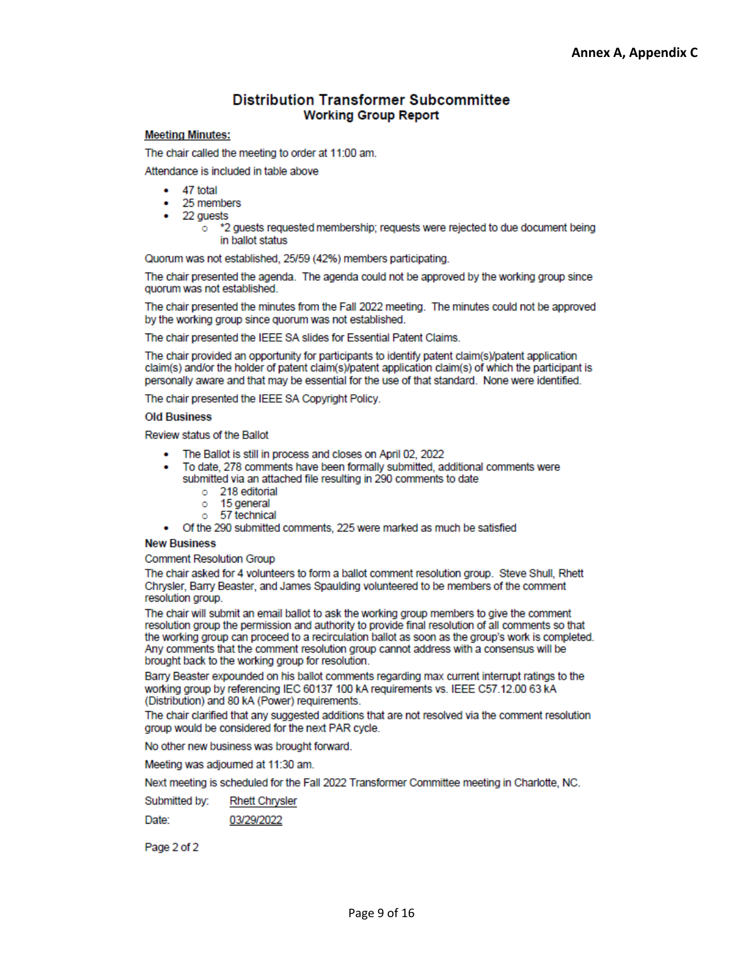#### **Distribution Transformer Subcommittee Working Group Report**

#### **Meeting Minutes:**

The chair called the meeting to order at 11:00 am.

Attendance is included in table above

- 47 total
- 25 members
- 22 guests
	- \*2 guests requested membership; requests were rejected to due document being  $\circ$ in ballot status

Quorum was not established, 25/59 (42%) members participating.

The chair presented the agenda. The agenda could not be approved by the working group since quorum was not established.

The chair presented the minutes from the Fall 2022 meeting. The minutes could not be approved by the working group since quorum was not established.

The chair presented the IEEE SA slides for Essential Patent Claims.

The chair provided an opportunity for participants to identify patent claim(s)/patent application claim(s) and/or the holder of patent claim(s)/patent application claim(s) of which the participant is personally aware and that may be essential for the use of that standard. None were identified.

The chair presented the IEEE SA Copyright Policy.

**Old Business** 

Review status of the Ballot

- The Ballot is still in process and closes on April 02, 2022
- To date, 278 comments have been formally submitted, additional comments were submitted via an attached file resulting in 290 comments to date
	- o 218 editorial
	- 15 general  $\circ$
	- 57 technical Ō.
- Of the 290 submitted comments, 225 were marked as much be satisfied

#### **New Business**

**Comment Resolution Group** 

The chair asked for 4 volunteers to form a ballot comment resolution group. Steve Shull, Rhett Chrysler, Barry Beaster, and James Spaulding volunteered to be members of the comment resolution group.

The chair will submit an email ballot to ask the working group members to give the comment resolution group the permission and authority to provide final resolution of all comments so that the working group can proceed to a recirculation ballot as soon as the group's work is completed. Any comments that the comment resolution group cannot address with a consensus will be brought back to the working group for resolution.

Barry Beaster expounded on his ballot comments regarding max current interrupt ratings to the working group by referencing IEC 60137 100 kA requirements vs. IEEE C57.12.00 63 kA (Distribution) and 80 kA (Power) requirements.

The chair clarified that any suggested additions that are not resolved via the comment resolution group would be considered for the next PAR cycle.

No other new business was brought forward.

Meeting was adjourned at 11:30 am.

Next meeting is scheduled for the Fall 2022 Transformer Committee meeting in Charlotte, NC.

Submitted by: **Rhett Chrysler** 

03/29/2022 Date:

Page 2 of 2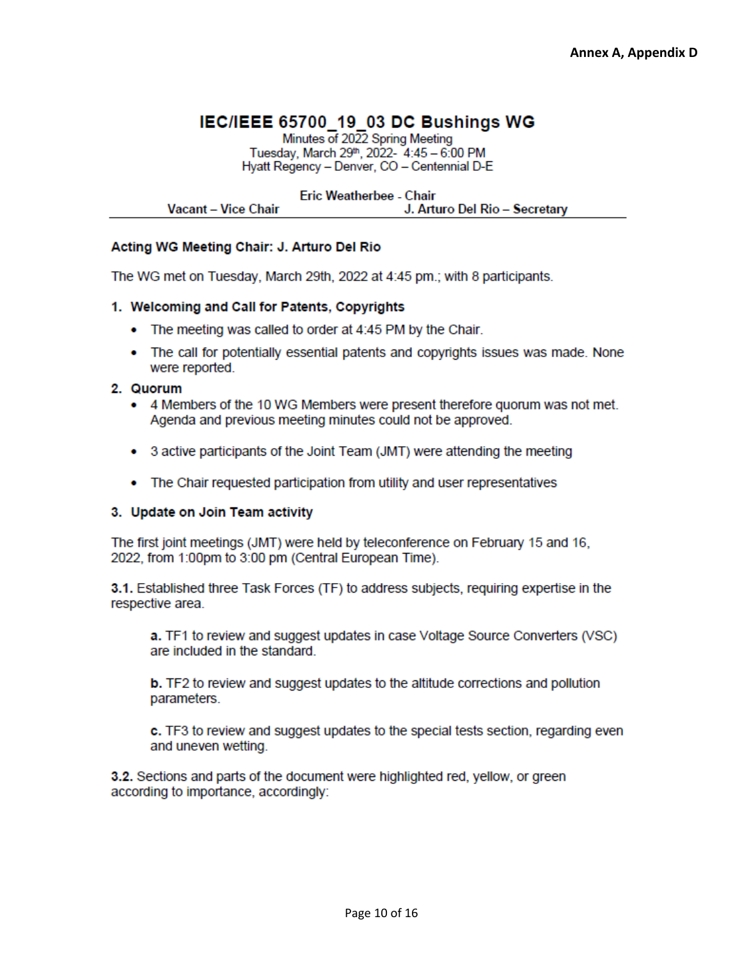## IEC/IEEE 65700 19 03 DC Bushings WG

Minutes of 2022 Spring Meeting Tuesday, March 29th, 2022- 4:45 - 6:00 PM Hyatt Regency - Denver, CO - Centennial D-E

**Eric Weatherbee - Chair Vacant - Vice Chair** J. Arturo Del Rio - Secretary

#### Acting WG Meeting Chair: J. Arturo Del Rio

The WG met on Tuesday, March 29th, 2022 at 4:45 pm.; with 8 participants.

#### 1. Welcoming and Call for Patents, Copyrights

- The meeting was called to order at 4:45 PM by the Chair.
- The call for potentially essential patents and copyrights issues was made. None were reported.

#### 2. Quorum

- 4 Members of the 10 WG Members were present therefore quorum was not met. Agenda and previous meeting minutes could not be approved.
- 3 active participants of the Joint Team (JMT) were attending the meeting
- The Chair requested participation from utility and user representatives

#### 3. Update on Join Team activity

The first joint meetings (JMT) were held by teleconference on February 15 and 16, 2022, from 1:00pm to 3:00 pm (Central European Time).

3.1. Established three Task Forces (TF) to address subjects, requiring expertise in the respective area.

a. TF1 to review and suggest updates in case Voltage Source Converters (VSC) are included in the standard.

**b.** TF2 to review and suggest updates to the altitude corrections and pollution parameters.

c. TF3 to review and suggest updates to the special tests section, regarding even and uneven wetting.

3.2. Sections and parts of the document were highlighted red, yellow, or green according to importance, accordingly: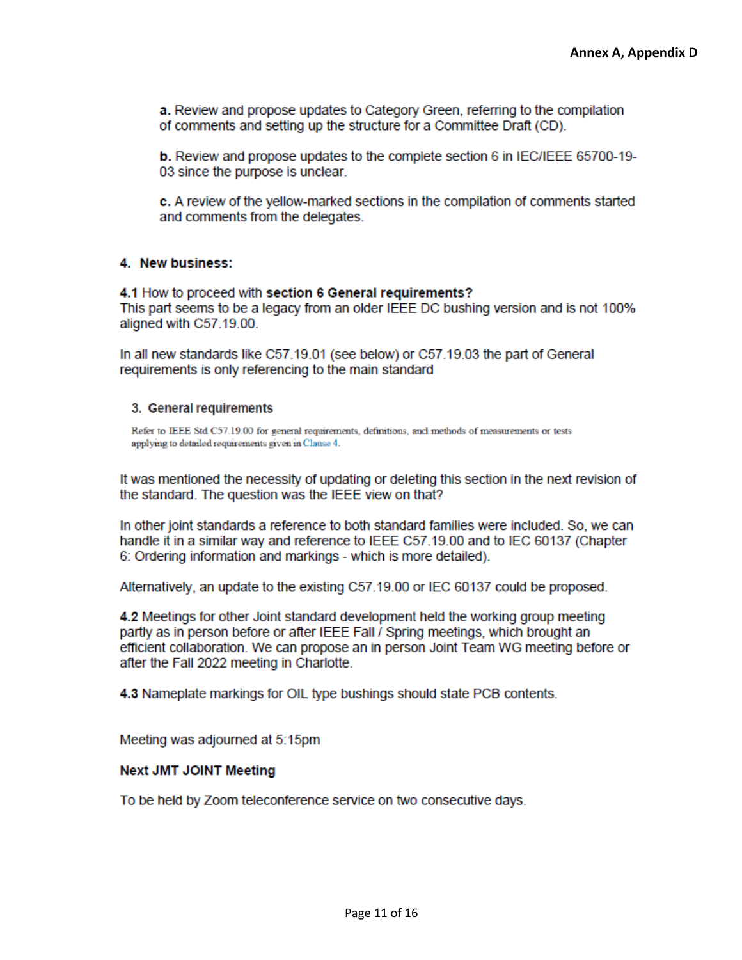a. Review and propose updates to Category Green, referring to the compilation of comments and setting up the structure for a Committee Draft (CD).

**b.** Review and propose updates to the complete section 6 in IEC/IEEE 65700-19-03 since the purpose is unclear.

c. A review of the vellow-marked sections in the compilation of comments started and comments from the delegates.

#### 4. New business:

4.1 How to proceed with section 6 General requirements? This part seems to be a legacy from an older IEEE DC bushing version and is not 100% aligned with C57.19.00.

In all new standards like C57.19.01 (see below) or C57.19.03 the part of General requirements is only referencing to the main standard

#### 3. General requirements

Refer to IEEE Std C57.19.00 for general requirements, definitions, and methods of measurements or tests applying to detailed requirements given in Clause 4.

It was mentioned the necessity of updating or deleting this section in the next revision of the standard. The question was the IEEE view on that?

In other joint standards a reference to both standard families were included. So, we can handle it in a similar way and reference to IEEE C57.19.00 and to IEC 60137 (Chapter 6: Ordering information and markings - which is more detailed).

Alternatively, an update to the existing C57.19.00 or IEC 60137 could be proposed.

4.2 Meetings for other Joint standard development held the working group meeting partly as in person before or after IEEE Fall / Spring meetings, which brought an efficient collaboration. We can propose an in person Joint Team WG meeting before or after the Fall 2022 meeting in Charlotte.

4.3 Nameplate markings for OIL type bushings should state PCB contents.

Meeting was adjourned at 5:15pm

#### **Next JMT JOINT Meeting**

To be held by Zoom teleconference service on two consecutive days.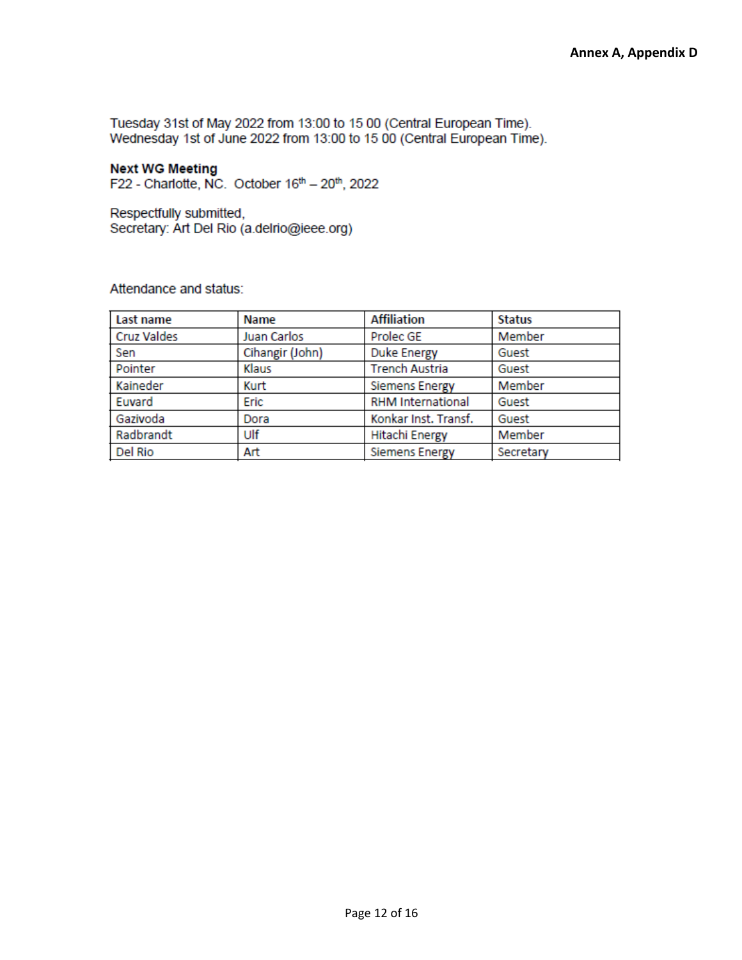Tuesday 31st of May 2022 from 13:00 to 15 00 (Central European Time). Wednesday 1st of June 2022 from 13:00 to 15 00 (Central European Time).

### **Next WG Meeting**

F22 - Charlotte, NC. October 16th - 20th, 2022

Respectfully submitted, Secretary: Art Del Rio (a.delrio@ieee.org)

Attendance and status:

| Last name          | Name            | <b>Affiliation</b>       | <b>Status</b> |
|--------------------|-----------------|--------------------------|---------------|
| <b>Cruz Valdes</b> | Juan Carlos     | Prolec GE                | Member        |
| Sen                | Cihangir (John) | <b>Duke Energy</b>       | Guest         |
| Pointer            | Klaus           | <b>Trench Austria</b>    | Guest         |
| Kaineder           | Kurt            | <b>Siemens Energy</b>    | Member        |
| Euvard             | Eric            | <b>RHM International</b> | Guest         |
| Gazivoda           | Dora            | Konkar Inst. Transf.     | Guest         |
| Radbrandt          | Ulf             | <b>Hitachi Energy</b>    | Member        |
| Del Rio            | Art             | <b>Siemens Energy</b>    | Secretary     |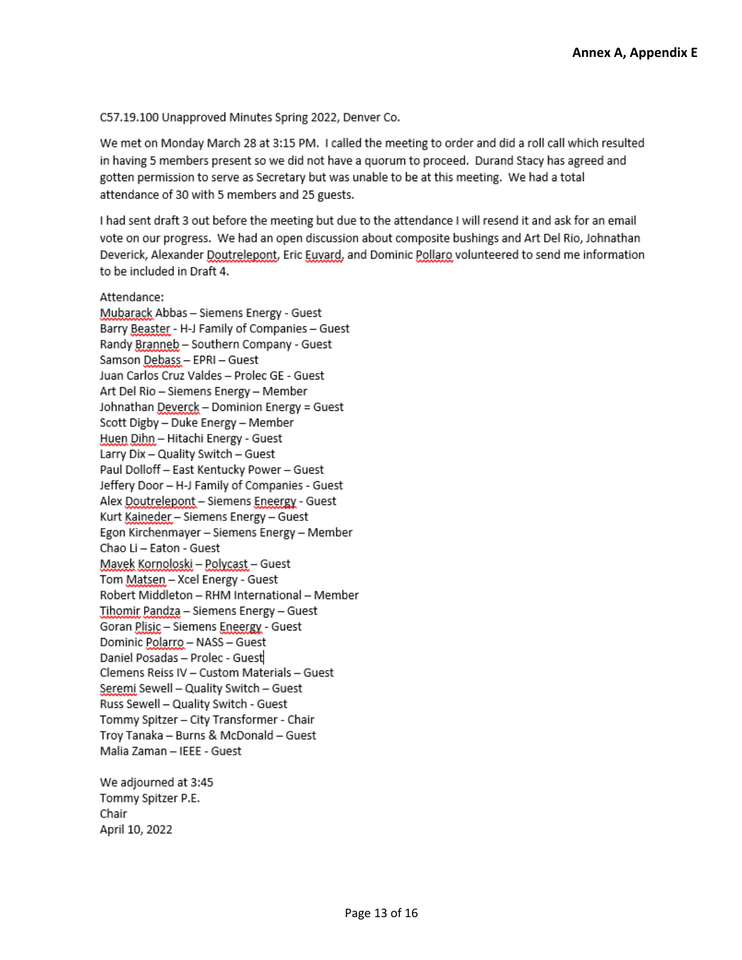C57.19.100 Unapproved Minutes Spring 2022, Denver Co.

We met on Monday March 28 at 3:15 PM. I called the meeting to order and did a roll call which resulted in having 5 members present so we did not have a quorum to proceed. Durand Stacy has agreed and gotten permission to serve as Secretary but was unable to be at this meeting. We had a total attendance of 30 with 5 members and 25 guests.

I had sent draft 3 out before the meeting but due to the attendance I will resend it and ask for an email vote on our progress. We had an open discussion about composite bushings and Art Del Rio, Johnathan Deverick, Alexander Doutrelepont, Eric Euvard, and Dominic Pollaro volunteered to send me information to be included in Draft 4.

Attendance: Mubarack Abbas - Siemens Energy - Guest Barry Beaster - H-J Family of Companies - Guest Randy Branneb - Southern Company - Guest Samson Debass - EPRI - Guest Juan Carlos Cruz Valdes - Prolec GE - Guest Art Del Rio - Siemens Energy - Member Johnathan Deverck - Dominion Energy = Guest Scott Digby - Duke Energy - Member Huen Dihn - Hitachi Energy - Guest Larry Dix - Quality Switch - Guest Paul Dolloff - East Kentucky Power - Guest Jeffery Door - H-J Family of Companies - Guest Alex Doutrelepont - Siemens Eneergy - Guest Kurt Kaineder - Siemens Energy - Guest Egon Kirchenmayer - Siemens Energy - Member Chao Li - Eaton - Guest Mayek Kornoloski - Polycast - Guest Tom Matsen - Xcel Energy - Guest Robert Middleton - RHM International - Member Tihomir Pandza - Siemens Energy - Guest Goran Plisic - Siemens Eneergy - Guest Dominic Polarro - NASS - Guest Daniel Posadas - Prolec - Guest Clemens Reiss IV - Custom Materials - Guest Seremi Sewell - Quality Switch - Guest Russ Sewell - Quality Switch - Guest Tommy Spitzer - City Transformer - Chair Troy Tanaka - Burns & McDonald - Guest Malia Zaman - IEEE - Guest

We adjourned at 3:45 Tommy Spitzer P.E. Chair April 10, 2022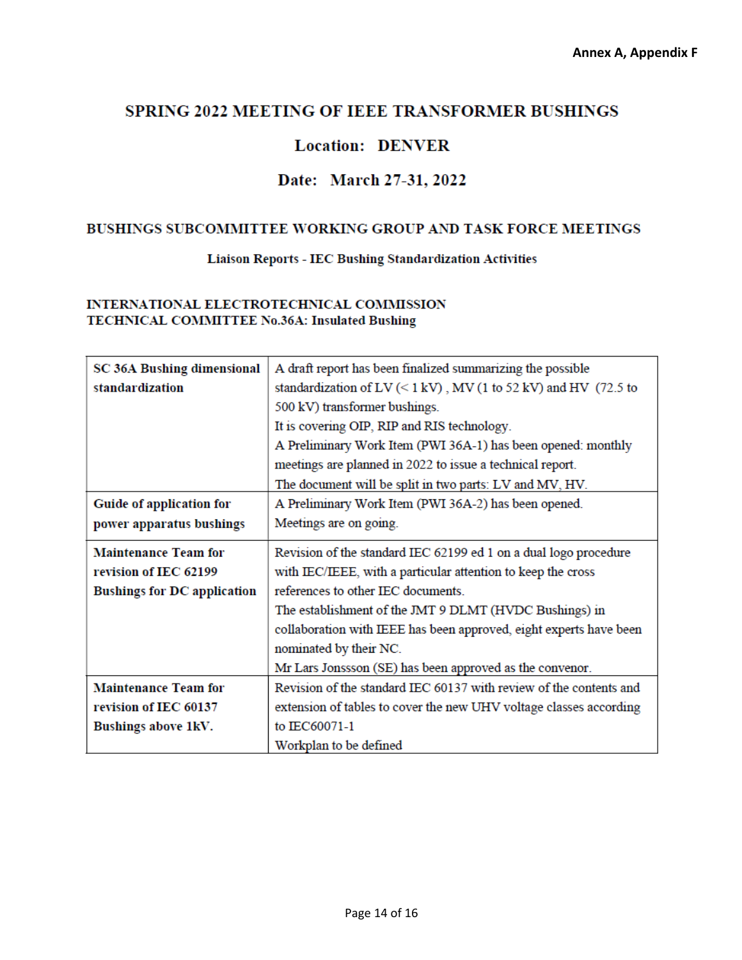### SPRING 2022 MEETING OF IEEE TRANSFORMER BUSHINGS

### **Location: DENVER**

### Date: March 27-31, 2022

### BUSHINGS SUBCOMMITTEE WORKING GROUP AND TASK FORCE MEETINGS

#### **Liaison Reports - IEC Bushing Standardization Activities**

#### INTERNATIONAL ELECTROTECHNICAL COMMISSION TECHNICAL COMMITTEE No.36A: Insulated Bushing

| <b>SC 36A Bushing dimensional</b>  | A draft report has been finalized summarizing the possible                                                         |  |
|------------------------------------|--------------------------------------------------------------------------------------------------------------------|--|
| standardization                    | standardization of LV $(< 1 \text{ kV})$ , MV $(1 \text{ to } 52 \text{ kV})$ and HV $(72.5 \text{ to } 10^{-19})$ |  |
|                                    | 500 kV) transformer bushings.                                                                                      |  |
|                                    | It is covering OIP, RIP and RIS technology.                                                                        |  |
|                                    | A Preliminary Work Item (PWI 36A-1) has been opened: monthly                                                       |  |
|                                    | meetings are planned in 2022 to issue a technical report.                                                          |  |
|                                    | The document will be split in two parts: LV and MV, HV.                                                            |  |
| Guide of application for           | A Preliminary Work Item (PWI 36A-2) has been opened.                                                               |  |
| power apparatus bushings           | Meetings are on going.                                                                                             |  |
| <b>Maintenance Team for</b>        | Revision of the standard IEC 62199 ed 1 on a dual logo procedure                                                   |  |
| revision of IEC 62199              | with IEC/IEEE, with a particular attention to keep the cross                                                       |  |
| <b>Bushings for DC application</b> | references to other IEC documents.                                                                                 |  |
|                                    | The establishment of the JMT 9 DLMT (HVDC Bushings) in                                                             |  |
|                                    | collaboration with IEEE has been approved, eight experts have been                                                 |  |
|                                    | nominated by their NC.                                                                                             |  |
|                                    | Mr Lars Jonssson (SE) has been approved as the convenor.                                                           |  |
| <b>Maintenance Team for</b>        | Revision of the standard IEC 60137 with review of the contents and                                                 |  |
| revision of IEC 60137              | extension of tables to cover the new UHV voltage classes according                                                 |  |
| Bushings above 1kV.                | to IEC60071-1                                                                                                      |  |
|                                    | Workplan to be defined                                                                                             |  |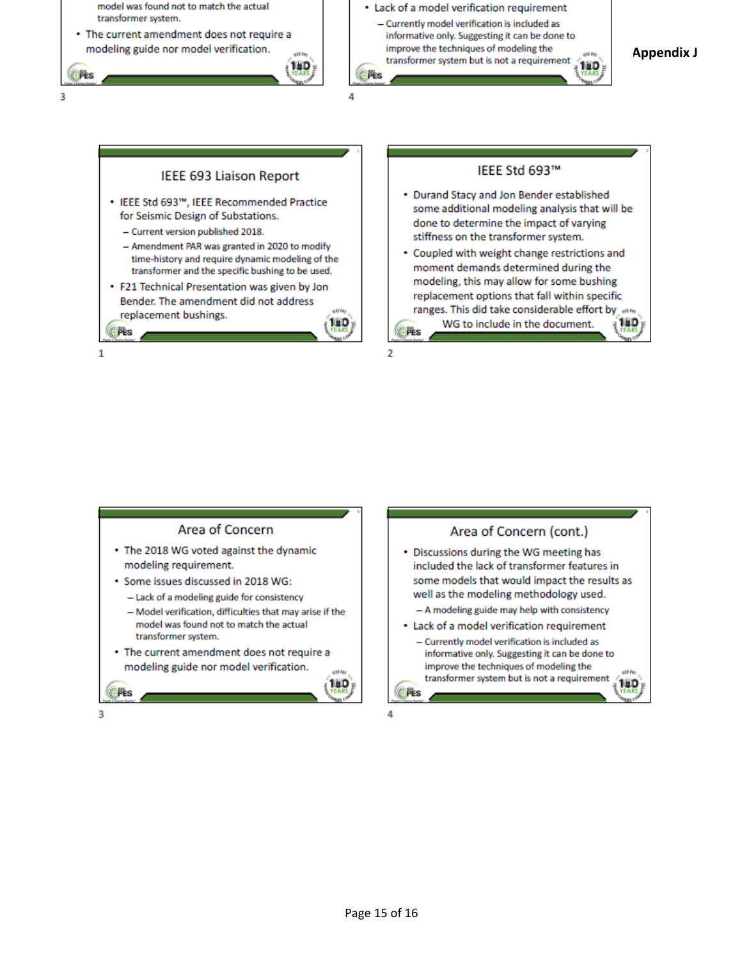

 $\overline{2}$ 

#### **IEEE 693 Liaison Report**

- IEEE Std 693™, IEEE Recommended Practice for Seismic Design of Substations.
	- Current version published 2018.
	- Amendment PAR was granted in 2020 to modify time-history and require dynamic modeling of the transformer and the specific bushing to be used.
- F21 Technical Presentation was given by Jon Bender. The amendment did not address replacement bushings.



### IEEE Std 693™

- Durand Stacy and Jon Bender established some additional modeling analysis that will be done to determine the impact of varying stiffness on the transformer system.
- Coupled with weight change restrictions and moment demands determined during the modeling, this may allow for some bushing replacement options that fall within specific ranges. This did take considerable effort by any 18D WG to include in the document. **EPES**

1

PES

#### **Area of Concern**

- The 2018 WG voted against the dynamic modeling requirement.
- Some issues discussed in 2018 WG:
	- Lack of a modeling guide for consistency
	- Model verification, difficulties that may arise if the model was found not to match the actual transformer system.
- The current amendment does not require a modeling guide nor model verification.

Area of Concern (cont.) • Discussions during the WG meeting has included the lack of transformer features in some models that would impact the results as well as the modeling methodology used.

- A modeling guide may help with consistency
- Lack of a model verification requirement
	- Currently model verification is included as informative only. Suggesting it can be done to improve the techniques of modeling the gil fey transformer system but is not a requirement 16 D

З

**PES** 

**OPES** 

16 D